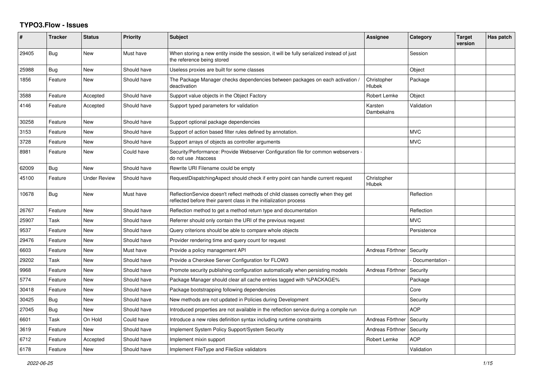## **TYPO3.Flow - Issues**

| #     | <b>Tracker</b> | <b>Status</b>       | <b>Priority</b> | <b>Subject</b>                                                                                                                                          | Assignee                     | Category        | <b>Target</b><br>version | Has patch |
|-------|----------------|---------------------|-----------------|---------------------------------------------------------------------------------------------------------------------------------------------------------|------------------------------|-----------------|--------------------------|-----------|
| 29405 | <b>Bug</b>     | <b>New</b>          | Must have       | When storing a new entity inside the session, it will be fully serialized instead of just<br>the reference being stored                                 |                              | Session         |                          |           |
| 25988 | Bug            | <b>New</b>          | Should have     | Useless proxies are built for some classes                                                                                                              |                              | Object          |                          |           |
| 1856  | Feature        | <b>New</b>          | Should have     | The Package Manager checks dependencies between packages on each activation /<br>deactivation                                                           | Christopher<br><b>Hlubek</b> | Package         |                          |           |
| 3588  | Feature        | Accepted            | Should have     | Support value objects in the Object Factory                                                                                                             | Robert Lemke                 | Object          |                          |           |
| 4146  | Feature        | Accepted            | Should have     | Support typed parameters for validation                                                                                                                 | Karsten<br>Dambekalns        | Validation      |                          |           |
| 30258 | Feature        | <b>New</b>          | Should have     | Support optional package dependencies                                                                                                                   |                              |                 |                          |           |
| 3153  | Feature        | New                 | Should have     | Support of action based filter rules defined by annotation.                                                                                             |                              | <b>MVC</b>      |                          |           |
| 3728  | Feature        | <b>New</b>          | Should have     | Support arrays of objects as controller arguments                                                                                                       |                              | <b>MVC</b>      |                          |           |
| 8981  | Feature        | <b>New</b>          | Could have      | Security/Performance: Provide Webserver Configuration file for common webservers -<br>do not use .htaccess                                              |                              |                 |                          |           |
| 62009 | Bug            | New                 | Should have     | Rewrite URI Filename could be empty                                                                                                                     |                              |                 |                          |           |
| 45100 | Feature        | <b>Under Review</b> | Should have     | RequestDispatchingAspect should check if entry point can handle current request                                                                         | Christopher<br>Hlubek        |                 |                          |           |
| 10678 | Bug            | New                 | Must have       | ReflectionService doesn't reflect methods of child classes correctly when they get<br>reflected before their parent class in the initialization process |                              | Reflection      |                          |           |
| 26767 | Feature        | <b>New</b>          | Should have     | Reflection method to get a method return type and documentation                                                                                         |                              | Reflection      |                          |           |
| 25907 | Task           | <b>New</b>          | Should have     | Referrer should only contain the URI of the previous request                                                                                            |                              | <b>MVC</b>      |                          |           |
| 9537  | Feature        | New                 | Should have     | Query criterions should be able to compare whole objects                                                                                                |                              | Persistence     |                          |           |
| 29476 | Feature        | <b>New</b>          | Should have     | Provider rendering time and query count for request                                                                                                     |                              |                 |                          |           |
| 6603  | Feature        | New                 | Must have       | Provide a policy management API                                                                                                                         | Andreas Förthner             | Security        |                          |           |
| 29202 | Task           | New                 | Should have     | Provide a Cherokee Server Configuration for FLOW3                                                                                                       |                              | Documentation - |                          |           |
| 9968  | Feature        | <b>New</b>          | Should have     | Promote security publishing configuration automatically when persisting models                                                                          | Andreas Förthner             | Security        |                          |           |
| 5774  | Feature        | <b>New</b>          | Should have     | Package Manager should clear all cache entries tagged with %PACKAGE%                                                                                    |                              | Package         |                          |           |
| 30418 | Feature        | <b>New</b>          | Should have     | Package bootstrapping following dependencies                                                                                                            |                              | Core            |                          |           |
| 30425 | Bug            | New                 | Should have     | New methods are not updated in Policies during Development                                                                                              |                              | Security        |                          |           |
| 27045 | Bug            | New                 | Should have     | Introduced properties are not available in the reflection service during a compile run                                                                  |                              | <b>AOP</b>      |                          |           |
| 6601  | Task           | On Hold             | Could have      | Introduce a new roles definition syntax including runtime constraints                                                                                   | Andreas Förthner             | Security        |                          |           |
| 3619  | Feature        | New                 | Should have     | Implement System Policy Support/System Security                                                                                                         | Andreas Förthner             | Security        |                          |           |
| 6712  | Feature        | Accepted            | Should have     | Implement mixin support                                                                                                                                 | Robert Lemke                 | <b>AOP</b>      |                          |           |
| 6178  | Feature        | New                 | Should have     | Implement FileType and FileSize validators                                                                                                              |                              | Validation      |                          |           |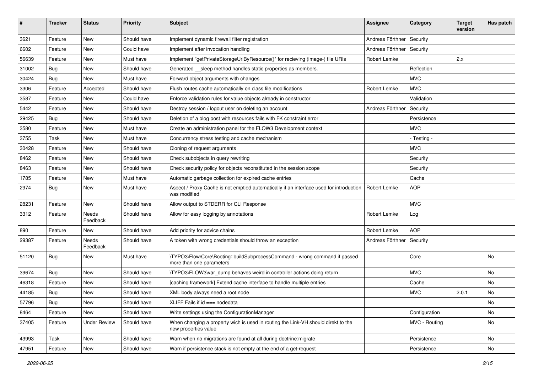| #     | <b>Tracker</b> | <b>Status</b>       | <b>Priority</b> | Subject                                                                                                   | <b>Assignee</b>     | Category      | <b>Target</b><br>version | Has patch |
|-------|----------------|---------------------|-----------------|-----------------------------------------------------------------------------------------------------------|---------------------|---------------|--------------------------|-----------|
| 3621  | Feature        | <b>New</b>          | Should have     | Implement dynamic firewall filter registration                                                            | Andreas Förthner    | Security      |                          |           |
| 6602  | Feature        | New                 | Could have      | Implement after invocation handling                                                                       | Andreas Förthner    | Security      |                          |           |
| 56639 | Feature        | <b>New</b>          | Must have       | Implement "getPrivateStorageUriByResource()" for recieving (image-) file URIs                             | <b>Robert Lemke</b> |               | 2.x                      |           |
| 31002 | Bug            | <b>New</b>          | Should have     | Generated __sleep method handles static properties as members.                                            |                     | Reflection    |                          |           |
| 30424 | <b>Bug</b>     | New                 | Must have       | Forward object arguments with changes                                                                     |                     | <b>MVC</b>    |                          |           |
| 3306  | Feature        | Accepted            | Should have     | Flush routes cache automatically on class file modifications                                              | Robert Lemke        | <b>MVC</b>    |                          |           |
| 3587  | Feature        | New                 | Could have      | Enforce validation rules for value objects already in constructor                                         |                     | Validation    |                          |           |
| 5442  | Feature        | <b>New</b>          | Should have     | Destroy session / logout user on deleting an account                                                      | Andreas Förthner    | Security      |                          |           |
| 29425 | <b>Bug</b>     | <b>New</b>          | Should have     | Deletion of a blog post with resources fails with FK constraint error                                     |                     | Persistence   |                          |           |
| 3580  | Feature        | New                 | Must have       | Create an administration panel for the FLOW3 Development context                                          |                     | <b>MVC</b>    |                          |           |
| 3755  | Task           | <b>New</b>          | Must have       | Concurrency stress testing and cache mechanism                                                            |                     | - Testing -   |                          |           |
| 30428 | Feature        | New                 | Should have     | Cloning of request arguments                                                                              |                     | <b>MVC</b>    |                          |           |
| 8462  | Feature        | <b>New</b>          | Should have     | Check subobjects in query rewriting                                                                       |                     | Security      |                          |           |
| 8463  | Feature        | <b>New</b>          | Should have     | Check security policy for objects reconstituted in the session scope                                      |                     | Security      |                          |           |
| 1785  | Feature        | New                 | Must have       | Automatic garbage collection for expired cache entries                                                    |                     | Cache         |                          |           |
| 2974  | <b>Bug</b>     | New                 | Must have       | Aspect / Proxy Cache is not emptied automatically if an interface used for introduction<br>was modified   | Robert Lemke        | <b>AOP</b>    |                          |           |
| 28231 | Feature        | New                 | Should have     | Allow output to STDERR for CLI Response                                                                   |                     | <b>MVC</b>    |                          |           |
| 3312  | Feature        | Needs<br>Feedback   | Should have     | Allow for easy logging by annotations                                                                     | Robert Lemke        | Log           |                          |           |
| 890   | Feature        | <b>New</b>          | Should have     | Add priority for advice chains                                                                            | Robert Lemke        | <b>AOP</b>    |                          |           |
| 29387 | Feature        | Needs<br>Feedback   | Should have     | A token with wrong credentials should throw an exception                                                  | Andreas Förthner    | Security      |                          |           |
| 51120 | <b>Bug</b>     | <b>New</b>          | Must have       | \TYPO3\Flow\Core\Booting::buildSubprocessCommand - wrong command if passed<br>more than one parameters    |                     | Core          |                          | <b>No</b> |
| 39674 | <b>Bug</b>     | <b>New</b>          | Should have     | \TYPO3\FLOW3\var_dump behaves weird in controller actions doing return                                    |                     | <b>MVC</b>    |                          | No        |
| 46318 | Feature        | <b>New</b>          | Should have     | [caching framework] Extend cache interface to handle multiple entries                                     |                     | Cache         |                          | No        |
| 44185 | <b>Bug</b>     | <b>New</b>          | Should have     | XML body always need a root node                                                                          |                     | <b>MVC</b>    | 2.0.1                    | No        |
| 57796 | Bug            | New                 | Should have     | XLIFF Fails if id === nodedata                                                                            |                     |               |                          | No.       |
| 8464  | Feature        | New                 | Should have     | Write settings using the ConfigurationManager                                                             |                     | Configuration |                          | No        |
| 37405 | Feature        | <b>Under Review</b> | Should have     | When changing a property wich is used in routing the Link-VH should direkt to the<br>new properties value |                     | MVC - Routing |                          | No        |
| 43993 | Task           | New                 | Should have     | Warn when no migrations are found at all during doctrine: migrate                                         |                     | Persistence   |                          | No        |
| 47951 | Feature        | New                 | Should have     | Warn if persistence stack is not empty at the end of a get-request                                        |                     | Persistence   |                          | No        |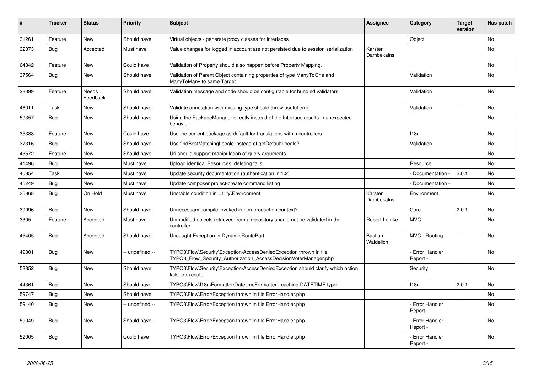| #     | <b>Tracker</b> | <b>Status</b>     | <b>Priority</b> | <b>Subject</b>                                                                                                                         | <b>Assignee</b>       | Category                         | <b>Target</b><br>version | Has patch |
|-------|----------------|-------------------|-----------------|----------------------------------------------------------------------------------------------------------------------------------------|-----------------------|----------------------------------|--------------------------|-----------|
| 31261 | Feature        | <b>New</b>        | Should have     | Virtual objects - generate proxy classes for interfaces                                                                                |                       | Object                           |                          | <b>No</b> |
| 32873 | <b>Bug</b>     | Accepted          | Must have       | Value changes for logged in account are not persisted due to session serialization                                                     | Karsten<br>Dambekalns |                                  |                          | No        |
| 64842 | Feature        | <b>New</b>        | Could have      | Validation of Property should also happen before Property Mapping.                                                                     |                       |                                  |                          | <b>No</b> |
| 37564 | <b>Bug</b>     | New               | Should have     | Validation of Parent Object containing properties of type ManyToOne and<br>ManyToMany to same Target                                   |                       | Validation                       |                          | <b>No</b> |
| 28399 | Feature        | Needs<br>Feedback | Should have     | Validation message and code should be configurable for bundled validators                                                              |                       | Validation                       |                          | <b>No</b> |
| 46011 | Task           | <b>New</b>        | Should have     | Validate annotation with missing type should throw useful error                                                                        |                       | Validation                       |                          | No        |
| 59357 | Bug            | New               | Should have     | Using the PackageManager directly instead of the Interface results in unexpected<br>behavior                                           |                       |                                  |                          | <b>No</b> |
| 35388 | Feature        | <b>New</b>        | Could have      | Use the current package as default for translations within controllers                                                                 |                       | 118 <sub>n</sub>                 |                          | <b>No</b> |
| 37316 | Bug            | <b>New</b>        | Should have     | Use findBestMatchingLocale instead of getDefaultLocale?                                                                                |                       | Validation                       |                          | No        |
| 43572 | Feature        | <b>New</b>        | Should have     | Uri should support manipulation of query arguments                                                                                     |                       |                                  |                          | <b>No</b> |
| 41496 | <b>Bug</b>     | <b>New</b>        | Must have       | Upload identical Resources, deleting fails                                                                                             |                       | Resource                         |                          | <b>No</b> |
| 40854 | Task           | <b>New</b>        | Must have       | Update security documentation (authentication in 1.2)                                                                                  |                       | Documentation                    | 2.0.1                    | <b>No</b> |
| 45249 | Bug            | New               | Must have       | Update composer project-create command listing                                                                                         |                       | Documentation -                  |                          | <b>No</b> |
| 35868 | <b>Bug</b>     | On Hold           | Must have       | Unstable condition in Utility\Environment                                                                                              | Karsten<br>Dambekalns | Environment                      |                          | No        |
| 39096 | Bug            | <b>New</b>        | Should have     | Unnecessary compile invoked in non production context?                                                                                 |                       | Core                             | 2.0.1                    | <b>No</b> |
| 3305  | Feature        | Accepted          | Must have       | Unmodified objects retrieved from a repository should not be validated in the<br>controller                                            | Robert Lemke          | <b>MVC</b>                       |                          | <b>No</b> |
| 45405 | <b>Bug</b>     | Accepted          | Should have     | Uncaught Exception in DynamicRoutePart                                                                                                 | Bastian<br>Waidelich  | MVC - Routing                    |                          | No        |
| 49801 | <b>Bug</b>     | New               | -- undefined -- | TYPO3\Flow\Security\Exception\AccessDeniedException thrown in file<br>TYPO3_Flow_Security_Authorization_AccessDecisionVoterManager.php |                       | Error Handler<br>Report -        |                          | <b>No</b> |
| 58852 | <b>Bug</b>     | <b>New</b>        | Should have     | TYPO3\Flow\Security\Exception\AccessDeniedException should clarify which action<br>fails to execute                                    |                       | Security                         |                          | <b>No</b> |
| 44361 | Bug            | <b>New</b>        | Should have     | TYPO3\Flow\I18n\Formatter\DatetimeFormatter - caching DATETIME type                                                                    |                       | 118 <sub>n</sub>                 | 2.0.1                    | <b>No</b> |
| 59747 | Bug            | New               | Should have     | TYPO3\Flow\Error\Exception thrown in file ErrorHandler.php                                                                             |                       |                                  |                          | <b>No</b> |
| 59140 | <b>Bug</b>     | <b>New</b>        | -- undefined -- | TYPO3\Flow\Error\Exception thrown in file ErrorHandler.php                                                                             |                       | <b>Error Handler</b><br>Report - |                          | No        |
| 59049 | Bug            | New               | Should have     | TYPO3\Flow\Error\Exception thrown in file ErrorHandler.php                                                                             |                       | Error Handler<br>Report -        |                          | <b>No</b> |
| 52005 | <b>Bug</b>     | <b>New</b>        | Could have      | TYPO3\Flow\Error\Exception thrown in file ErrorHandler.php                                                                             |                       | - Error Handler<br>Report -      |                          | No        |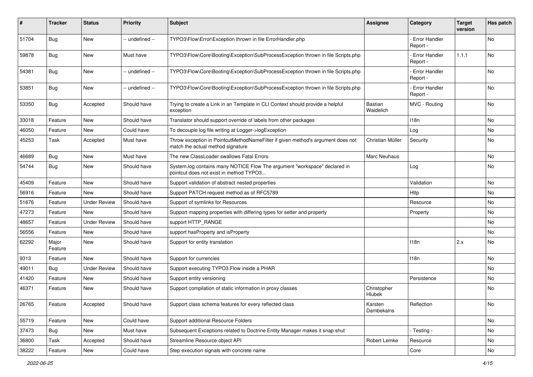| #     | <b>Tracker</b>   | <b>Status</b>       | <b>Priority</b> | <b>Subject</b>                                                                                                       | <b>Assignee</b>             | Category                         | <b>Target</b><br>version | Has patch |
|-------|------------------|---------------------|-----------------|----------------------------------------------------------------------------------------------------------------------|-----------------------------|----------------------------------|--------------------------|-----------|
| 51704 | Bug              | <b>New</b>          | -- undefined -- | TYPO3\Flow\Error\Exception thrown in file ErrorHandler.php                                                           |                             | Error Handler<br>Report -        |                          | <b>No</b> |
| 59878 | <b>Bug</b>       | New                 | Must have       | TYPO3\Flow\Core\Booting\Exception\SubProcessException thrown in file Scripts.php                                     |                             | - Error Handler<br>Report -      | 1.1.1                    | <b>No</b> |
| 54381 | Bug              | New                 | -- undefined -- | TYPO3\Flow\Core\Booting\Exception\SubProcessException thrown in file Scripts.php                                     |                             | <b>Error Handler</b><br>Report - |                          | No        |
| 53851 | <b>Bug</b>       | New                 | -- undefined -- | TYPO3\Flow\Core\Booting\Exception\SubProcessException thrown in file Scripts.php                                     |                             | <b>Error Handler</b><br>Report - |                          | <b>No</b> |
| 53350 | <b>Bug</b>       | Accepted            | Should have     | Trying to create a Link in an Template in CLI Context should provide a helpful<br>exception                          | <b>Bastian</b><br>Waidelich | MVC - Routing                    |                          | <b>No</b> |
| 33018 | Feature          | <b>New</b>          | Should have     | Translator should support override of labels from other packages                                                     |                             | 118n                             |                          | <b>No</b> |
| 46050 | Feature          | New                 | Could have      | To decouple log file writing at Logger->logException                                                                 |                             | Log                              |                          | No        |
| 45253 | Task             | Accepted            | Must have       | Throw exception in PointcutMethodNameFilter if given method's argument does not<br>match the actual method signature | Christian Müller            | Security                         |                          | No        |
| 46689 | <b>Bug</b>       | <b>New</b>          | Must have       | The new ClassLoader swallows Fatal Errors                                                                            | Marc Neuhaus                |                                  |                          | No.       |
| 54744 | <b>Bug</b>       | New                 | Should have     | System.log contains many NOTICE Flow The argument "workspace" declared in<br>pointcut does not exist in method TYPO3 |                             | Log                              |                          | No        |
| 45409 | Feature          | New                 | Should have     | Support validation of abstract nested properties                                                                     |                             | Validation                       |                          | No        |
| 56916 | Feature          | New                 | Should have     | Support PATCH request method as of RFC5789                                                                           |                             | Http                             |                          | No        |
| 51676 | Feature          | <b>Under Review</b> | Should have     | Support of symlinks for Resources                                                                                    |                             | Resource                         |                          | No        |
| 47273 | Feature          | New                 | Should have     | Support mapping properties with differing types for setter and property                                              |                             | Property                         |                          | No.       |
| 48657 | Feature          | <b>Under Review</b> | Should have     | support HTTP_RANGE                                                                                                   |                             |                                  |                          | No        |
| 56556 | Feature          | <b>New</b>          | Should have     | support has Property and is Property                                                                                 |                             |                                  |                          | No        |
| 62292 | Major<br>Feature | New                 | Should have     | Support for entity translation                                                                                       |                             | 118n                             | 2.x                      | No        |
| 9313  | Feature          | New                 | Should have     | Support for currencies                                                                                               |                             | 118n                             |                          | No        |
| 49011 | Bug              | <b>Under Review</b> | Should have     | Support executing TYPO3. Flow inside a PHAR                                                                          |                             |                                  |                          | <b>No</b> |
| 41420 | Feature          | New                 | Should have     | Support entity versioning                                                                                            |                             | Persistence                      |                          | No        |
| 46371 | Feature          | New                 | Should have     | Support compilation of static information in proxy classes                                                           | Christopher<br>Hlubek       |                                  |                          | No        |
| 26765 | Feature          | Accepted            | Should have     | Support class schema features for every reflected class                                                              | Karsten<br>Dambekalns       | Reflection                       |                          | No        |
| 55719 | Feature          | New                 | Could have      | Support additional Resource Folders                                                                                  |                             |                                  |                          | No        |
| 37473 | <b>Bug</b>       | New                 | Must have       | Subsequent Exceptions related to Doctrine Entity Manager makes it snap shut                                          |                             | - Testing -                      |                          | No        |
| 36800 | Task             | Accepted            | Should have     | Streamline Resource object API                                                                                       | Robert Lemke                | Resource                         |                          | No        |
| 38222 | Feature          | New                 | Could have      | Step execution signals with concrete name                                                                            |                             | Core                             |                          | No        |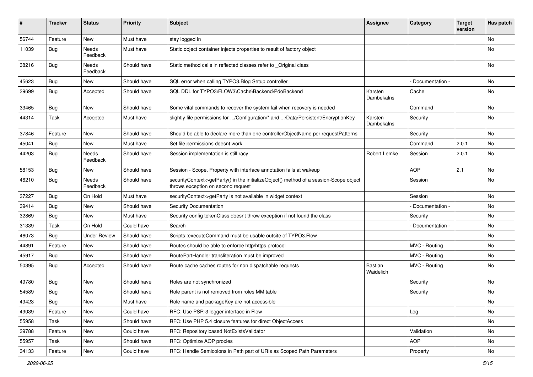| #     | <b>Tracker</b> | <b>Status</b>            | <b>Priority</b> | <b>Subject</b>                                                                                                               | <b>Assignee</b>       | Category        | <b>Target</b><br>version | Has patch |
|-------|----------------|--------------------------|-----------------|------------------------------------------------------------------------------------------------------------------------------|-----------------------|-----------------|--------------------------|-----------|
| 56744 | Feature        | New                      | Must have       | stay logged in                                                                                                               |                       |                 |                          | No        |
| 11039 | <b>Bug</b>     | Needs<br>Feedback        | Must have       | Static object container injects properties to result of factory object                                                       |                       |                 |                          | No        |
| 38216 | <b>Bug</b>     | Needs<br>Feedback        | Should have     | Static method calls in reflected classes refer to _Original class                                                            |                       |                 |                          | No        |
| 45623 | <b>Bug</b>     | New                      | Should have     | SQL error when calling TYPO3. Blog Setup controller                                                                          |                       | Documentation - |                          | <b>No</b> |
| 39699 | <b>Bug</b>     | Accepted                 | Should have     | SQL DDL for TYPO3\FLOW3\Cache\Backend\PdoBackend                                                                             | Karsten<br>Dambekalns | Cache           |                          | No        |
| 33465 | <b>Bug</b>     | New                      | Should have     | Some vital commands to recover the system fail when recovery is needed                                                       |                       | Command         |                          | No        |
| 44314 | Task           | Accepted                 | Must have       | slightly file permissions for /Configuration/* and /Data/Persistent/EncryptionKey                                            | Karsten<br>Dambekalns | Security        |                          | No        |
| 37846 | Feature        | New                      | Should have     | Should be able to declare more than one controllerObjectName per requestPatterns                                             |                       | Security        |                          | <b>No</b> |
| 45041 | <b>Bug</b>     | New                      | Must have       | Set file permissions doesnt work                                                                                             |                       | Command         | 2.0.1                    | No        |
| 44203 | <b>Bug</b>     | <b>Needs</b><br>Feedback | Should have     | Session implementation is still racy                                                                                         | Robert Lemke          | Session         | 2.0.1                    | No        |
| 58153 | <b>Bug</b>     | New                      | Should have     | Session - Scope, Property with interface annotation fails at wakeup                                                          |                       | <b>AOP</b>      | 2.1                      | <b>No</b> |
| 46210 | <b>Bug</b>     | Needs<br>Feedback        | Should have     | securityContext->getParty() in the initializeObject() method of a session-Scope object<br>throws exception on second request |                       | Session         |                          | No        |
| 37227 | <b>Bug</b>     | On Hold                  | Must have       | securityContext->getParty is not available in widget context                                                                 |                       | Session         |                          | No        |
| 39414 | Bug            | New                      | Should have     | <b>Security Documentation</b>                                                                                                |                       | Documentation - |                          | No        |
| 32869 | <b>Bug</b>     | New                      | Must have       | Security config tokenClass doesnt throw exception if not found the class                                                     |                       | Security        |                          | No        |
| 31339 | Task           | On Hold                  | Could have      | Search                                                                                                                       |                       | Documentation - |                          | No        |
| 46073 | <b>Bug</b>     | <b>Under Review</b>      | Should have     | Scripts::executeCommand must be usable outsite of TYPO3.Flow                                                                 |                       |                 |                          | No        |
| 44891 | Feature        | New                      | Should have     | Routes should be able to enforce http/https protocol                                                                         |                       | MVC - Routing   |                          | No        |
| 45917 | <b>Bug</b>     | New                      | Should have     | RoutePartHandler transliteration must be improved                                                                            |                       | MVC - Routing   |                          | No        |
| 50395 | <b>Bug</b>     | Accepted                 | Should have     | Route cache caches routes for non dispatchable requests                                                                      | Bastian<br>Waidelich  | MVC - Routing   |                          | No        |
| 49780 | <b>Bug</b>     | New                      | Should have     | Roles are not synchronized                                                                                                   |                       | Security        |                          | No        |
| 54589 | Bug            | New                      | Should have     | Role parent is not removed from roles MM table                                                                               |                       | Security        |                          | No        |
| 49423 | Bug            | New                      | Must have       | Role name and packageKey are not accessible                                                                                  |                       |                 |                          | No        |
| 49039 | Feature        | New                      | Could have      | RFC: Use PSR-3 logger interface in Flow                                                                                      |                       | Log             |                          | No        |
| 55958 | Task           | New                      | Should have     | RFC: Use PHP 5.4 closure features for direct ObjectAccess                                                                    |                       |                 |                          | No        |
| 39788 | Feature        | New                      | Could have      | RFC: Repository based NotExistsValidator                                                                                     |                       | Validation      |                          | No        |
| 55957 | Task           | New                      | Should have     | RFC: Optimize AOP proxies                                                                                                    |                       | <b>AOP</b>      |                          | No        |
| 34133 | Feature        | New                      | Could have      | RFC: Handle Semicolons in Path part of URIs as Scoped Path Parameters                                                        |                       | Property        |                          | No        |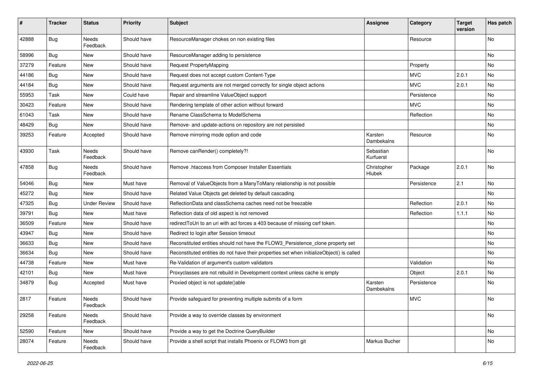| #     | <b>Tracker</b> | <b>Status</b>       | <b>Priority</b> | <b>Subject</b>                                                                            | <b>Assignee</b>        | Category    | <b>Target</b><br>version | Has patch |
|-------|----------------|---------------------|-----------------|-------------------------------------------------------------------------------------------|------------------------|-------------|--------------------------|-----------|
| 42888 | Bug            | Needs<br>Feedback   | Should have     | ResourceManager chokes on non existing files                                              |                        | Resource    |                          | No        |
| 58996 | <b>Bug</b>     | New                 | Should have     | ResourceManager adding to persistence                                                     |                        |             |                          | No        |
| 37279 | Feature        | <b>New</b>          | Should have     | Request PropertyMapping                                                                   |                        | Property    |                          | No        |
| 44186 | Bug            | New                 | Should have     | Request does not accept custom Content-Type                                               |                        | <b>MVC</b>  | 2.0.1                    | No        |
| 44184 | Bug            | <b>New</b>          | Should have     | Request arguments are not merged correctly for single object actions                      |                        | <b>MVC</b>  | 2.0.1                    | <b>No</b> |
| 55953 | Task           | New                 | Could have      | Repair and streamline ValueObject support                                                 |                        | Persistence |                          | No        |
| 30423 | Feature        | New                 | Should have     | Rendering template of other action without forward                                        |                        | <b>MVC</b>  |                          | No        |
| 61043 | Task           | New                 | Should have     | Rename ClassSchema to ModelSchema                                                         |                        | Reflection  |                          | No        |
| 48429 | Bug            | New                 | Should have     | Remove- and update-actions on repository are not persisted                                |                        |             |                          | No        |
| 39253 | Feature        | Accepted            | Should have     | Remove mirroring mode option and code                                                     | Karsten<br>Dambekalns  | Resource    |                          | No        |
| 43930 | Task           | Needs<br>Feedback   | Should have     | Remove canRender() completely?!                                                           | Sebastian<br>Kurfuerst |             |                          | No        |
| 47858 | Bug            | Needs<br>Feedback   | Should have     | Remove .htaccess from Composer Installer Essentials                                       | Christopher<br>Hlubek  | Package     | 2.0.1                    | No        |
| 54046 | Bug            | New                 | Must have       | Removal of ValueObjects from a ManyToMany relationship is not possible                    |                        | Persistence | 2.1                      | No        |
| 45272 | Bug            | <b>New</b>          | Should have     | Related Value Objects get deleted by default cascading                                    |                        |             |                          | <b>No</b> |
| 47325 | <b>Bug</b>     | <b>Under Review</b> | Should have     | ReflectionData and classSchema caches need not be freezable                               |                        | Reflection  | 2.0.1                    | No        |
| 39791 | <b>Bug</b>     | <b>New</b>          | Must have       | Reflection data of old aspect is not removed                                              |                        | Reflection  | 1.1.1                    | No        |
| 36509 | Feature        | New                 | Should have     | redirect ToUri to an uri with acl forces a 403 because of missing csrf token.             |                        |             |                          | No        |
| 43947 | Bug            | <b>New</b>          | Should have     | Redirect to login after Session timeout                                                   |                        |             |                          | <b>No</b> |
| 36633 | <b>Bug</b>     | New                 | Should have     | Reconstituted entities should not have the FLOW3 Persistence clone property set           |                        |             |                          | No        |
| 36634 | <b>Bug</b>     | New                 | Should have     | Reconstituted entities do not have their properties set when initializeObject() is called |                        |             |                          | No        |
| 44738 | Feature        | New                 | Must have       | Re-Validation of argument's custom validators                                             |                        | Validation  |                          | No        |
| 42101 | Bug            | New                 | Must have       | Proxyclasses are not rebuild in Development context unless cache is empty                 |                        | Object      | 2.0.1                    | No        |
| 34879 | <b>Bug</b>     | Accepted            | Must have       | Proxied object is not update()able                                                        | Karsten<br>Dambekalns  | Persistence |                          | No        |
| 2817  | Feature        | Needs<br>Feedback   | Should have     | Provide safeguard for preventing multiple submits of a form                               |                        | <b>MVC</b>  |                          | No        |
| 29258 | Feature        | Needs<br>Feedback   | Should have     | Provide a way to override classes by environment                                          |                        |             |                          | No        |
| 52590 | Feature        | New                 | Should have     | Provide a way to get the Doctrine QueryBuilder                                            |                        |             |                          | No        |
| 28074 | Feature        | Needs<br>Feedback   | Should have     | Provide a shell script that installs Phoenix or FLOW3 from git                            | Markus Bucher          |             |                          | No        |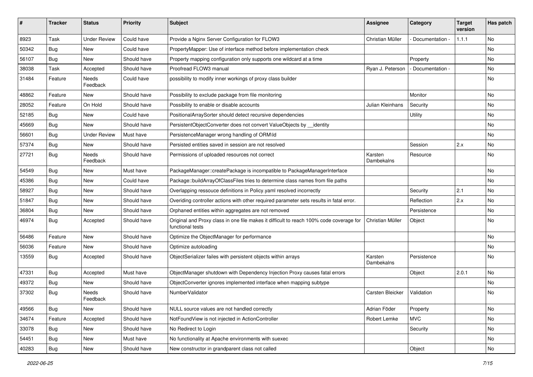| #     | <b>Tracker</b> | <b>Status</b>       | <b>Priority</b> | Subject                                                                                                     | <b>Assignee</b>       | Category          | <b>Target</b><br>version | Has patch |
|-------|----------------|---------------------|-----------------|-------------------------------------------------------------------------------------------------------------|-----------------------|-------------------|--------------------------|-----------|
| 8923  | Task           | <b>Under Review</b> | Could have      | Provide a Nginx Server Configuration for FLOW3                                                              | Christian Müller      | Documentation -   | 1.1.1                    | <b>No</b> |
| 50342 | <b>Bug</b>     | New                 | Could have      | PropertyMapper: Use of interface method before implementation check                                         |                       |                   |                          | <b>No</b> |
| 56107 | <b>Bug</b>     | New                 | Should have     | Property mapping configuration only supports one wildcard at a time                                         |                       | Property          |                          | No        |
| 38038 | Task           | Accepted            | Should have     | Proofread FLOW3 manual                                                                                      | Ryan J. Peterson      | - Documentation - |                          | No        |
| 31484 | Feature        | Needs<br>Feedback   | Could have      | possibility to modify inner workings of proxy class builder                                                 |                       |                   |                          | No        |
| 48862 | Feature        | New                 | Should have     | Possibility to exclude package from file monitoring                                                         |                       | Monitor           |                          | No        |
| 28052 | Feature        | On Hold             | Should have     | Possibility to enable or disable accounts                                                                   | Julian Kleinhans      | Security          |                          | No        |
| 52185 | Bug            | New                 | Could have      | PositionalArraySorter should detect recursive dependencies                                                  |                       | <b>Utility</b>    |                          | No        |
| 45669 | <b>Bug</b>     | New                 | Should have     | PersistentObjectConverter does not convert ValueObjects by identity                                         |                       |                   |                          | No        |
| 56601 | <b>Bug</b>     | <b>Under Review</b> | Must have       | PersistenceManager wrong handling of ORM\ld                                                                 |                       |                   |                          | No        |
| 57374 | <b>Bug</b>     | <b>New</b>          | Should have     | Persisted entities saved in session are not resolved                                                        |                       | Session           | 2.x                      | No        |
| 27721 | <b>Bug</b>     | Needs<br>Feedback   | Should have     | Permissions of uploaded resources not correct                                                               | Karsten<br>Dambekalns | Resource          |                          | No        |
| 54549 | <b>Bug</b>     | New                 | Must have       | PackageManager::createPackage is incompatible to PackageManagerInterface                                    |                       |                   |                          | No        |
| 45386 | <b>Bug</b>     | New                 | Could have      | Package::buildArrayOfClassFiles tries to determine class names from file paths                              |                       |                   |                          | <b>No</b> |
| 58927 | Bug            | New                 | Should have     | Overlapping ressouce definitions in Policy.yaml resolved incorrectly                                        |                       | Security          | 2.1                      | No        |
| 51847 | <b>Bug</b>     | New                 | Should have     | Overiding controller actions with other required parameter sets results in fatal error.                     |                       | Reflection        | 2.x                      | <b>No</b> |
| 36804 | <b>Bug</b>     | New                 | Should have     | Orphaned entities within aggregates are not removed                                                         |                       | Persistence       |                          | No        |
| 46974 | <b>Bug</b>     | Accepted            | Should have     | Original and Proxy class in one file makes it difficult to reach 100% code coverage for<br>functional tests | Christian Müller      | Object            |                          | No        |
| 56486 | Feature        | <b>New</b>          | Should have     | Optimize the ObjectManager for performance                                                                  |                       |                   |                          | <b>No</b> |
| 56036 | Feature        | New                 | Should have     | Optimize autoloading                                                                                        |                       |                   |                          | No        |
| 13559 | <b>Bug</b>     | Accepted            | Should have     | ObjectSerializer failes with persistent objects within arrays                                               | Karsten<br>Dambekalns | Persistence       |                          | No        |
| 47331 | <b>Bug</b>     | Accepted            | Must have       | ObjectManager shutdown with Dependency Injection Proxy causes fatal errors                                  |                       | Object            | 2.0.1                    | <b>No</b> |
| 49372 | <b>Bug</b>     | New                 | Should have     | ObjectConverter ignores implemented interface when mapping subtype                                          |                       |                   |                          | No        |
| 37302 | <b>Bug</b>     | Needs<br>Feedback   | Should have     | NumberValidator                                                                                             | Carsten Bleicker      | Validation        |                          | No        |
| 49566 | Bug            | New                 | Should have     | NULL source values are not handled correctly                                                                | Adrian Föder          | Property          |                          | No        |
| 34674 | Feature        | Accepted            | Should have     | NotFoundView is not injected in ActionController                                                            | Robert Lemke          | <b>MVC</b>        |                          | No        |
| 33078 | <b>Bug</b>     | New                 | Should have     | No Redirect to Login                                                                                        |                       | Security          |                          | No        |
| 54451 | Bug            | New                 | Must have       | No functionality at Apache environments with suexec                                                         |                       |                   |                          | No        |
| 40283 | <b>Bug</b>     | New                 | Should have     | New constructor in grandparent class not called                                                             |                       | Object            |                          | No        |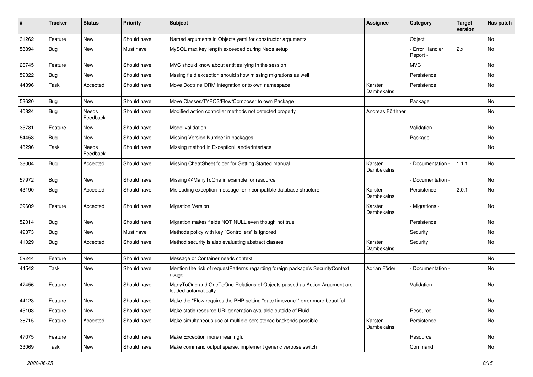| #     | <b>Tracker</b> | <b>Status</b>     | <b>Priority</b> | <b>Subject</b>                                                                                    | <b>Assignee</b>       | Category                         | <b>Target</b><br>version | Has patch |
|-------|----------------|-------------------|-----------------|---------------------------------------------------------------------------------------------------|-----------------------|----------------------------------|--------------------------|-----------|
| 31262 | Feature        | <b>New</b>        | Should have     | Named arguments in Objects.yaml for constructor arguments                                         |                       | Object                           |                          | No        |
| 58894 | <b>Bug</b>     | New               | Must have       | MySQL max key length exceeded during Neos setup                                                   |                       | <b>Error Handler</b><br>Report - | 2.x                      | No        |
| 26745 | Feature        | <b>New</b>        | Should have     | MVC should know about entities lying in the session                                               |                       | <b>MVC</b>                       |                          | No        |
| 59322 | <b>Bug</b>     | New               | Should have     | Mssing field exception should show missing migrations as well                                     |                       | Persistence                      |                          | No        |
| 44396 | Task           | Accepted          | Should have     | Move Doctrine ORM integration onto own namespace                                                  | Karsten<br>Dambekalns | Persistence                      |                          | No        |
| 53620 | <b>Bug</b>     | <b>New</b>        | Should have     | Move Classes/TYPO3/Flow/Composer to own Package                                                   |                       | Package                          |                          | No        |
| 40824 | Bug            | Needs<br>Feedback | Should have     | Modified action controller methods not detected properly                                          | Andreas Förthner      |                                  |                          | No        |
| 35781 | Feature        | New               | Should have     | Model validation                                                                                  |                       | Validation                       |                          | No        |
| 54458 | Bug            | <b>New</b>        | Should have     | Missing Version Number in packages                                                                |                       | Package                          |                          | No        |
| 48296 | Task           | Needs<br>Feedback | Should have     | Missing method in ExceptionHandlerInterface                                                       |                       |                                  |                          | No        |
| 38004 | <b>Bug</b>     | Accepted          | Should have     | Missing CheatSheet folder for Getting Started manual                                              | Karsten<br>Dambekalns | Documentation -                  | 1.1.1                    | No        |
| 57972 | <b>Bug</b>     | New               | Should have     | Missing @ManyToOne in example for resource                                                        |                       | Documentation -                  |                          | No        |
| 43190 | <b>Bug</b>     | Accepted          | Should have     | Misleading exception message for incompatible database structure                                  | Karsten<br>Dambekalns | Persistence                      | 2.0.1                    | No        |
| 39609 | Feature        | Accepted          | Should have     | <b>Migration Version</b>                                                                          | Karsten<br>Dambekalns | Migrations -                     |                          | No        |
| 52014 | <b>Bug</b>     | <b>New</b>        | Should have     | Migration makes fields NOT NULL even though not true                                              |                       | Persistence                      |                          | No        |
| 49373 | <b>Bug</b>     | <b>New</b>        | Must have       | Methods policy with key "Controllers" is ignored                                                  |                       | Security                         |                          | No        |
| 41029 | <b>Bug</b>     | Accepted          | Should have     | Method security is also evaluating abstract classes                                               | Karsten<br>Dambekalns | Security                         |                          | No        |
| 59244 | Feature        | New               | Should have     | Message or Container needs context                                                                |                       |                                  |                          | No        |
| 44542 | Task           | New               | Should have     | Mention the risk of requestPatterns regarding foreign package's SecurityContext<br>usage          | Adrian Föder          | Documentation -                  |                          | No        |
| 47456 | Feature        | <b>New</b>        | Should have     | ManyToOne and OneToOne Relations of Objects passed as Action Argument are<br>loaded automatically |                       | Validation                       |                          | <b>No</b> |
| 44123 | Feature        | New               | Should have     | Make the "Flow requires the PHP setting "date.timezone"" error more beautiful                     |                       |                                  |                          | No        |
| 45103 | Feature        | New               | Should have     | Make static resource URI generation available outside of Fluid                                    |                       | Resource                         |                          | No        |
| 36715 | Feature        | Accepted          | Should have     | Make simultaneous use of multiple persistence backends possible                                   | Karsten<br>Dambekalns | Persistence                      |                          | No        |
| 47075 | Feature        | New               | Should have     | Make Exception more meaningful                                                                    |                       | Resource                         |                          | No        |
| 33069 | Task           | New               | Should have     | Make command output sparse, implement generic verbose switch                                      |                       | Command                          |                          | No        |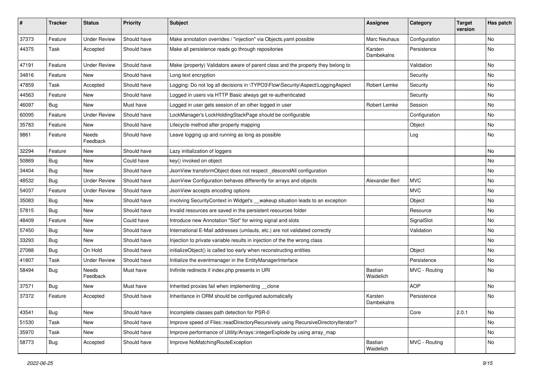| #     | <b>Tracker</b> | <b>Status</b>            | <b>Priority</b> | <b>Subject</b>                                                                     | <b>Assignee</b>             | Category      | <b>Target</b><br>version | Has patch |
|-------|----------------|--------------------------|-----------------|------------------------------------------------------------------------------------|-----------------------------|---------------|--------------------------|-----------|
| 37373 | Feature        | <b>Under Review</b>      | Should have     | Make annotation overrides / "injection" via Objects.yaml possible                  | Marc Neuhaus                | Configuration |                          | No        |
| 44375 | Task           | Accepted                 | Should have     | Make all persistence reads go through repositories                                 | Karsten<br>Dambekalns       | Persistence   |                          | No        |
| 47191 | Feature        | <b>Under Review</b>      | Should have     | Make (property) Validators aware of parent class and the property they belong to   |                             | Validation    |                          | No        |
| 34816 | Feature        | New                      | Should have     | Long text encryption                                                               |                             | Security      |                          | No        |
| 47859 | Task           | Accepted                 | Should have     | Logging: Do not log all decisions in \TYPO3\Flow\Security\Aspect\LoggingAspect     | Robert Lemke                | Security      |                          | <b>No</b> |
| 44563 | Feature        | New                      | Should have     | Logged in users via HTTP Basic always get re-authenticated                         |                             | Security      |                          | No        |
| 46097 | Bug            | New                      | Must have       | Logged in user gets session of an other logged in user                             | Robert Lemke                | Session       |                          | No        |
| 60095 | Feature        | <b>Under Review</b>      | Should have     | LockManager's LockHoldingStackPage should be configurable                          |                             | Configuration |                          | No        |
| 35783 | Feature        | New                      | Should have     | Lifecycle method after property mapping                                            |                             | Object        |                          | No        |
| 9861  | Feature        | Needs<br>Feedback        | Should have     | Leave logging up and running as long as possible                                   |                             | Log           |                          | No        |
| 32294 | Feature        | New                      | Should have     | Lazy initialization of loggers                                                     |                             |               |                          | No        |
| 50869 | Bug            | New                      | Could have      | key() invoked on object                                                            |                             |               |                          | <b>No</b> |
| 34404 | Bug            | New                      | Should have     | JsonView transformObject does not respect_descendAll configuration                 |                             |               |                          | No        |
| 48532 | Bug            | <b>Under Review</b>      | Should have     | JsonView Configuration behaves differently for arrays and objects                  | Alexander Berl              | <b>MVC</b>    |                          | No        |
| 54037 | Feature        | <b>Under Review</b>      | Should have     | JsonView accepts encoding options                                                  |                             | <b>MVC</b>    |                          | No        |
| 35083 | <b>Bug</b>     | New                      | Should have     | involving SecurityContext in Widget's __ wakeup situation leads to an exception    |                             | Object        |                          | No        |
| 57815 | Bug            | New                      | Should have     | Invalid resources are saved in the persistent resources folder                     |                             | Resource      |                          | No        |
| 48409 | Feature        | New                      | Could have      | Introduce new Annotation "Slot" for wiring signal and slots                        |                             | SignalSlot    |                          | No        |
| 57450 | Bug            | New                      | Should have     | International E-Mail addresses (umlauts, etc.) are not validated correctly         |                             | Validation    |                          | No        |
| 33293 | <b>Bug</b>     | <b>New</b>               | Should have     | Injection to private variable results in injection of the the wrong class          |                             |               |                          | No        |
| 27088 | <b>Bug</b>     | On Hold                  | Should have     | initializeObject() is called too early when reconstructing entities                |                             | Object        |                          | No        |
| 41807 | Task           | <b>Under Review</b>      | Should have     | Initialize the eventmanager in the EntityManagerInterface                          |                             | Persistence   |                          | No        |
| 58494 | Bug            | <b>Needs</b><br>Feedback | Must have       | Inifinite redirects if index.php presents in URI                                   | <b>Bastian</b><br>Waidelich | MVC - Routing |                          | No        |
| 37571 | Bug            | New                      | Must have       | Inherited proxies fail when implementing __ clone                                  |                             | <b>AOP</b>    |                          | <b>No</b> |
| 37372 | Feature        | Accepted                 | Should have     | Inheritance in ORM should be configured automatically                              | Karsten<br>Dambekains       | Persistence   |                          | No        |
| 43541 | <b>Bug</b>     | New                      | Should have     | Incomplete classes path detection for PSR-0                                        |                             | Core          | 2.0.1                    | No        |
| 51530 | Task           | New                      | Should have     | Improve speed of Files::readDirectoryRecursively using RecursiveDirectoryIterator? |                             |               |                          | No        |
| 35970 | Task           | New                      | Should have     | Improve performance of Utility/Arrays::integerExplode by using array map           |                             |               |                          | No        |
| 58773 | <b>Bug</b>     | Accepted                 | Should have     | Improve NoMatchingRouteException                                                   | Bastian<br>Waidelich        | MVC - Routing |                          | No        |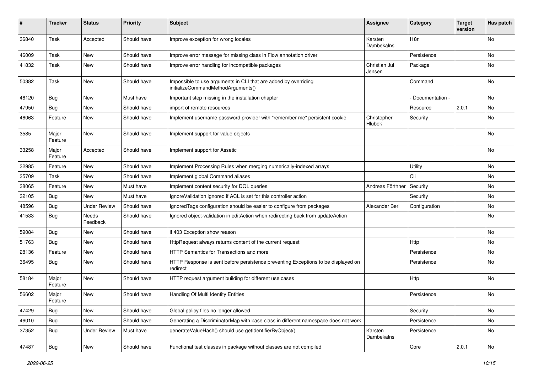| #     | <b>Tracker</b>   | <b>Status</b>       | <b>Priority</b> | Subject                                                                                               | <b>Assignee</b>         | Category        | <b>Target</b><br>version | Has patch |
|-------|------------------|---------------------|-----------------|-------------------------------------------------------------------------------------------------------|-------------------------|-----------------|--------------------------|-----------|
| 36840 | Task             | Accepted            | Should have     | Improve exception for wrong locales                                                                   | Karsten<br>Dambekalns   | 118n            |                          | No        |
| 46009 | Task             | New                 | Should have     | Improve error message for missing class in Flow annotation driver                                     |                         | Persistence     |                          | No        |
| 41832 | Task             | <b>New</b>          | Should have     | Improve error handling for incompatible packages                                                      | Christian Jul<br>Jensen | Package         |                          | No        |
| 50382 | Task             | <b>New</b>          | Should have     | Impossible to use arguments in CLI that are added by overriding<br>initializeCommandMethodArguments() |                         | Command         |                          | <b>No</b> |
| 46120 | Bug              | <b>New</b>          | Must have       | Important step missing in the installation chapter                                                    |                         | Documentation - |                          | No        |
| 47950 | <b>Bug</b>       | <b>New</b>          | Should have     | import of remote resources                                                                            |                         | Resource        | 2.0.1                    | <b>No</b> |
| 46063 | Feature          | New                 | Should have     | Implement username password provider with "remember me" persistent cookie                             | Christopher<br>Hlubek   | Security        |                          | No        |
| 3585  | Major<br>Feature | <b>New</b>          | Should have     | Implement support for value objects                                                                   |                         |                 |                          | No        |
| 33258 | Major<br>Feature | Accepted            | Should have     | Implement support for Assetic                                                                         |                         |                 |                          | No        |
| 32985 | Feature          | New                 | Should have     | Implement Processing Rules when merging numerically-indexed arrays                                    |                         | Utility         |                          | No        |
| 35709 | Task             | New                 | Should have     | Implement global Command aliases                                                                      |                         | Cli             |                          | <b>No</b> |
| 38065 | Feature          | New                 | Must have       | Implement content security for DQL queries                                                            | Andreas Förthner        | Security        |                          | No        |
| 32105 | Bug              | <b>New</b>          | Must have       | IgnoreValidation ignored if ACL is set for this controller action                                     |                         | Security        |                          | <b>No</b> |
| 48596 | Bug              | <b>Under Review</b> | Should have     | IgnoredTags configuration should be easier to configure from packages                                 | Alexander Berl          | Configuration   |                          | No        |
| 41533 | <b>Bug</b>       | Needs<br>Feedback   | Should have     | Ignored object-validation in editAction when redirecting back from updateAction                       |                         |                 |                          | <b>No</b> |
| 59084 | <b>Bug</b>       | New                 | Should have     | if 403 Exception show reason                                                                          |                         |                 |                          | <b>No</b> |
| 51763 | Bug              | New                 | Should have     | HttpRequest always returns content of the current request                                             |                         | Http            |                          | No        |
| 28136 | Feature          | New                 | Should have     | HTTP Semantics for Transactions and more                                                              |                         | Persistence     |                          | <b>No</b> |
| 36495 | <b>Bug</b>       | New                 | Should have     | HTTP Response is sent before persistence preventing Exceptions to be displayed on<br>redirect         |                         | Persistence     |                          | No        |
| 58184 | Major<br>Feature | <b>New</b>          | Should have     | HTTP request argument building for different use cases                                                |                         | Http            |                          | No        |
| 56602 | Major<br>Feature | New                 | Should have     | Handling Of Multi Identity Entities                                                                   |                         | Persistence     |                          | No        |
| 47429 | <b>Bug</b>       | New                 | Should have     | Global policy files no longer allowed                                                                 |                         | Security        |                          | No        |
| 46010 | Bug              | New                 | Should have     | Generating a DiscriminatorMap with base class in different namespace does not work                    |                         | Persistence     |                          | No        |
| 37352 | Bug              | <b>Under Review</b> | Must have       | generateValueHash() should use getIdentifierByObject()                                                | Karsten<br>Dambekalns   | Persistence     |                          | No        |
| 47487 | <b>Bug</b>       | New                 | Should have     | Functional test classes in package without classes are not compiled                                   |                         | Core            | 2.0.1                    | No        |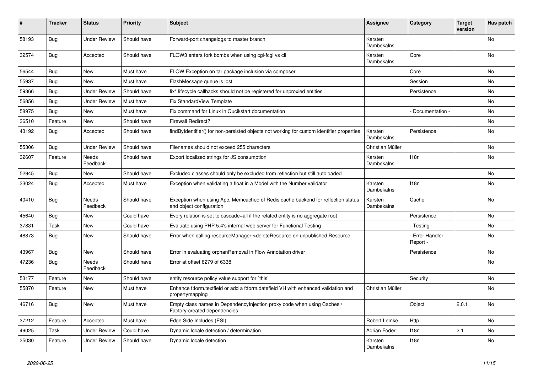| #     | <b>Tracker</b> | <b>Status</b>            | <b>Priority</b> | Subject                                                                                                      | <b>Assignee</b>       | Category                  | <b>Target</b><br>version | Has patch |
|-------|----------------|--------------------------|-----------------|--------------------------------------------------------------------------------------------------------------|-----------------------|---------------------------|--------------------------|-----------|
| 58193 | <b>Bug</b>     | <b>Under Review</b>      | Should have     | Forward-port changelogs to master branch                                                                     | Karsten<br>Dambekalns |                           |                          | <b>No</b> |
| 32574 | Bug            | Accepted                 | Should have     | FLOW3 enters fork bombs when using cgi-fcgi vs cli                                                           | Karsten<br>Dambekalns | Core                      |                          | No        |
| 56544 | <b>Bug</b>     | New                      | Must have       | FLOW Exception on tar package inclusion via composer                                                         |                       | Core                      |                          | No        |
| 55937 | <b>Bug</b>     | New                      | Must have       | FlashMessage queue is lost                                                                                   |                       | Session                   |                          | <b>No</b> |
| 59366 | <b>Bug</b>     | <b>Under Review</b>      | Should have     | fix* lifecycle callbacks should not be registered for unproxied entities                                     |                       | Persistence               |                          | No        |
| 56856 | <b>Bug</b>     | <b>Under Review</b>      | Must have       | Fix StandardView Template                                                                                    |                       |                           |                          | No        |
| 58975 | Bug            | New                      | Must have       | Fix command for Linux in Qucikstart documentation                                                            |                       | Documentation -           |                          | No        |
| 36510 | Feature        | New                      | Should have     | <b>Firewall Redirect?</b>                                                                                    |                       |                           |                          | No        |
| 43192 | <b>Bug</b>     | Accepted                 | Should have     | findByIdentifier() for non-persisted objects not working for custom identifier properties                    | Karsten<br>Dambekalns | Persistence               |                          | No        |
| 55306 | <b>Bug</b>     | <b>Under Review</b>      | Should have     | Filenames should not exceed 255 characters                                                                   | Christian Müller      |                           |                          | No        |
| 32607 | Feature        | <b>Needs</b><br>Feedback | Should have     | Export localized strings for JS consumption                                                                  | Karsten<br>Dambekalns | 118n                      |                          | <b>No</b> |
| 52945 | <b>Bug</b>     | New                      | Should have     | Excluded classes should only be excluded from reflection but still autoloaded                                |                       |                           |                          | <b>No</b> |
| 33024 | <b>Bug</b>     | Accepted                 | Must have       | Exception when validating a float in a Model with the Number validator                                       | Karsten<br>Dambekalns | 118n                      |                          | No        |
| 40410 | <b>Bug</b>     | <b>Needs</b><br>Feedback | Should have     | Exception when using Apc, Memcached of Redis cache backend for reflection status<br>and object configuration | Karsten<br>Dambekalns | Cache                     |                          | No        |
| 45640 | <b>Bug</b>     | New                      | Could have      | Every relation is set to cascade=all if the related entity is no aggregate root                              |                       | Persistence               |                          | <b>No</b> |
| 37831 | Task           | New                      | Could have      | Evaluate using PHP 5.4's internal web server for Functional Testing                                          |                       | - Testing -               |                          | No        |
| 48873 | Bug            | New                      | Should have     | Error when calling resourceManager->deleteResource on unpublished Resource                                   |                       | Error Handler<br>Report - |                          | No        |
| 43967 | Bug            | <b>New</b>               | Should have     | Error in evaluating orphanRemoval in Flow Annotation driver                                                  |                       | Persistence               |                          | <b>No</b> |
| 47236 | <b>Bug</b>     | Needs<br>Feedback        | Should have     | Error at offset 6279 of 6338                                                                                 |                       |                           |                          | No        |
| 53177 | Feature        | New                      | Should have     | entity resource policy value support for `this`                                                              |                       | Security                  |                          | No        |
| 55870 | Feature        | New                      | Must have       | Enhance f:form.textfield or add a f:form.datefield VH with enhanced validation and<br>propertymapping        | Christian Müller      |                           |                          | No        |
| 46716 | <b>Bug</b>     | New                      | Must have       | Empty class names in Dependencylnjection proxy code when using Caches /<br>Factory-created dependencies      |                       | Object                    | 2.0.1                    | No        |
| 37212 | Feature        | Accepted                 | Must have       | Edge Side Includes (ESI)                                                                                     | Robert Lemke          | Http                      |                          | No        |
| 49025 | Task           | <b>Under Review</b>      | Could have      | Dynamic locale detection / determination                                                                     | Adrian Föder          | 118n                      | 2.1                      | No        |
| 35030 | Feature        | <b>Under Review</b>      | Should have     | Dynamic locale detection                                                                                     | Karsten<br>Dambekalns | 118n                      |                          | No        |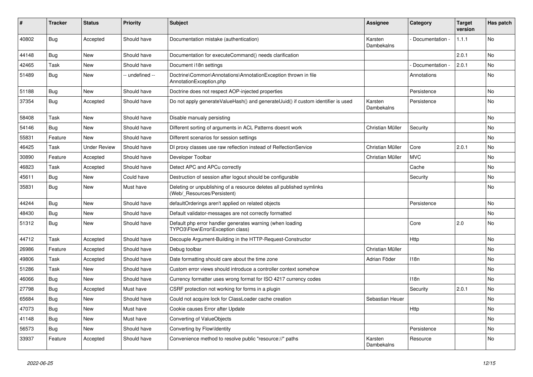| ∦     | <b>Tracker</b> | <b>Status</b>       | <b>Priority</b> | <b>Subject</b>                                                                                       | <b>Assignee</b>       | Category        | <b>Target</b><br>version | Has patch |
|-------|----------------|---------------------|-----------------|------------------------------------------------------------------------------------------------------|-----------------------|-----------------|--------------------------|-----------|
| 40802 | Bug            | Accepted            | Should have     | Documentation mistake (authentication)                                                               | Karsten<br>Dambekalns | Documentation - | 1.1.1                    | <b>No</b> |
| 44148 | Bug            | New                 | Should have     | Documentation for executeCommand() needs clarification                                               |                       |                 | 2.0.1                    | No        |
| 42465 | Task           | <b>New</b>          | Should have     | Document i18n settings                                                                               |                       | Documentation - | 2.0.1                    | No        |
| 51489 | Bug            | <b>New</b>          | - undefined --  | Doctrine\Common\Annotations\AnnotationException thrown in file<br>AnnotationException.php            |                       | Annotations     |                          | No        |
| 51188 | <b>Bug</b>     | <b>New</b>          | Should have     | Doctrine does not respect AOP-injected properties                                                    |                       | Persistence     |                          | No        |
| 37354 | <b>Bug</b>     | Accepted            | Should have     | Do not apply generateValueHash() and generateUuid() if custom identifier is used                     | Karsten<br>Dambekalns | Persistence     |                          | No        |
| 58408 | Task           | <b>New</b>          | Should have     | Disable manualy persisting                                                                           |                       |                 |                          | <b>No</b> |
| 54146 | Bug            | <b>New</b>          | Should have     | Different sorting of arguments in ACL Patterns doesnt work                                           | Christian Müller      | Security        |                          | <b>No</b> |
| 55831 | Feature        | <b>New</b>          | Should have     | Different scenarios for session settings                                                             |                       |                 |                          | <b>No</b> |
| 46425 | Task           | <b>Under Review</b> | Should have     | DI proxy classes use raw reflection instead of RelfectionService                                     | Christian Müller      | Core            | 2.0.1                    | <b>No</b> |
| 30890 | Feature        | Accepted            | Should have     | Developer Toolbar                                                                                    | Christian Müller      | <b>MVC</b>      |                          | <b>No</b> |
| 46823 | Task           | Accepted            | Should have     | Detect APC and APCu correctly                                                                        |                       | Cache           |                          | <b>No</b> |
| 45611 | Bug            | <b>New</b>          | Could have      | Destruction of session after logout should be configurable                                           |                       | Security        |                          | No        |
| 35831 | <b>Bug</b>     | New                 | Must have       | Deleting or unpublishing of a resource deletes all published symlinks<br>(Web/ Resources/Persistent) |                       |                 |                          | No        |
| 44244 | Bug            | <b>New</b>          | Should have     | defaultOrderings aren't applied on related objects                                                   |                       | Persistence     |                          | <b>No</b> |
| 48430 | Bug            | <b>New</b>          | Should have     | Default validator-messages are not correctly formatted                                               |                       |                 |                          | <b>No</b> |
| 51312 | Bug            | <b>New</b>          | Should have     | Default php error handler generates warning (when loading<br>TYPO3\Flow\Error\Exception class)       |                       | Core            | 2.0                      | <b>No</b> |
| 44712 | Task           | Accepted            | Should have     | Decouple Argument-Building in the HTTP-Request-Constructor                                           |                       | Http            |                          | No        |
| 26986 | Feature        | Accepted            | Should have     | Debug toolbar                                                                                        | Christian Müller      |                 |                          | No        |
| 49806 | Task           | Accepted            | Should have     | Date formatting should care about the time zone                                                      | Adrian Föder          | 118n            |                          | No        |
| 51286 | Task           | <b>New</b>          | Should have     | Custom error views should introduce a controller context somehow                                     |                       |                 |                          | No        |
| 46066 | Bug            | <b>New</b>          | Should have     | Currency formatter uses wrong format for ISO 4217 currency codes                                     |                       | 118n            |                          | No        |
| 27798 | Bug            | Accepted            | Must have       | CSRF protection not working for forms in a plugin                                                    |                       | Security        | 2.0.1                    | No        |
| 65684 | <b>Bug</b>     | <b>New</b>          | Should have     | Could not acquire lock for ClassLoader cache creation                                                | Sebastian Heuer       |                 |                          | <b>No</b> |
| 47073 | Bug            | <b>New</b>          | Must have       | Cookie causes Error after Update                                                                     |                       | Http            |                          | <b>No</b> |
| 41148 | <b>Bug</b>     | <b>New</b>          | Must have       | Converting of ValueObjects                                                                           |                       |                 |                          | <b>No</b> |
| 56573 | <b>Bug</b>     | New                 | Should have     | Converting by Flow\Identity                                                                          |                       | Persistence     |                          | No        |
| 33937 | Feature        | Accepted            | Should have     | Convenience method to resolve public "resource://" paths                                             | Karsten<br>Dambekalns | Resource        |                          | No        |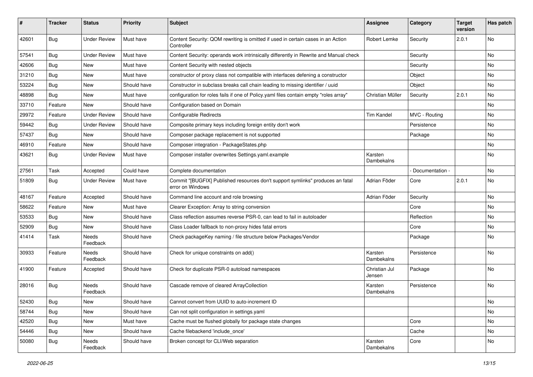| #     | <b>Tracker</b> | <b>Status</b>       | <b>Priority</b> | <b>Subject</b>                                                                                     | <b>Assignee</b>         | Category          | <b>Target</b><br>version | Has patch |
|-------|----------------|---------------------|-----------------|----------------------------------------------------------------------------------------------------|-------------------------|-------------------|--------------------------|-----------|
| 42601 | Bug            | <b>Under Review</b> | Must have       | Content Security: QOM rewriting is omitted if used in certain cases in an Action<br>Controller     | Robert Lemke            | Security          | 2.0.1                    | No        |
| 57541 | <b>Bug</b>     | <b>Under Review</b> | Must have       | Content Security: operands work intrinsically differently in Rewrite and Manual check              |                         | Security          |                          | No.       |
| 42606 | Bug            | New                 | Must have       | Content Security with nested objects                                                               |                         | Security          |                          | No        |
| 31210 | Bug            | New                 | Must have       | constructor of proxy class not compatible with interfaces defening a constructor                   |                         | Object            |                          | No        |
| 53224 | <b>Bug</b>     | New                 | Should have     | Constructor in subclass breaks call chain leading to missing identifier / uuid                     |                         | Object            |                          | No.       |
| 48898 | <b>Bug</b>     | New                 | Must have       | configuration for roles fails if one of Policy yaml files contain empty "roles array"              | Christian Müller        | Security          | 2.0.1                    | No        |
| 33710 | Feature        | New                 | Should have     | Configuration based on Domain                                                                      |                         |                   |                          | No        |
| 29972 | Feature        | <b>Under Review</b> | Should have     | <b>Configurable Redirects</b>                                                                      | <b>Tim Kandel</b>       | MVC - Routing     |                          | No        |
| 59442 | Bug            | <b>Under Review</b> | Should have     | Composite primary keys including foreign entity don't work                                         |                         | Persistence       |                          | No        |
| 57437 | Bug            | New                 | Should have     | Composer package replacement is not supported                                                      |                         | Package           |                          | No        |
| 46910 | Feature        | <b>New</b>          | Should have     | Composer integration - PackageStates.php                                                           |                         |                   |                          | No        |
| 43621 | Bug            | <b>Under Review</b> | Must have       | Composer installer overwrites Settings.yaml.example                                                | Karsten<br>Dambekalns   |                   |                          | No        |
| 27561 | Task           | Accepted            | Could have      | Complete documentation                                                                             |                         | - Documentation - |                          | No        |
| 51809 | Bug            | <b>Under Review</b> | Must have       | Commit "[BUGFIX] Published resources don't support symlinks" produces an fatal<br>error on Windows | Adrian Föder            | Core              | 2.0.1                    | <b>No</b> |
| 48167 | Feature        | Accepted            | Should have     | Command line account and role browsing                                                             | Adrian Föder            | Security          |                          | No        |
| 58622 | Feature        | New                 | Must have       | Clearer Exception: Array to string conversion                                                      |                         | Core              |                          | No        |
| 53533 | <b>Bug</b>     | New                 | Should have     | Class reflection assumes reverse PSR-0, can lead to fail in autoloader                             |                         | Reflection        |                          | No        |
| 52909 | <b>Bug</b>     | New                 | Should have     | Class Loader fallback to non-proxy hides fatal errors                                              |                         | Core              |                          | No        |
| 41414 | Task           | Needs<br>Feedback   | Should have     | Check packageKey naming / file structure below Packages/Vendor                                     |                         | Package           |                          | No        |
| 30933 | Feature        | Needs<br>Feedback   | Should have     | Check for unique constraints on add()                                                              | Karsten<br>Dambekalns   | Persistence       |                          | <b>No</b> |
| 41900 | Feature        | Accepted            | Should have     | Check for duplicate PSR-0 autoload namespaces                                                      | Christian Jul<br>Jensen | Package           |                          | No        |
| 28016 | Bug            | Needs<br>Feedback   | Should have     | Cascade remove of cleared ArrayCollection                                                          | Karsten<br>Dambekalns   | Persistence       |                          | <b>No</b> |
| 52430 | <b>Bug</b>     | New                 | Should have     | Cannot convert from UUID to auto-increment ID                                                      |                         |                   |                          | No        |
| 58744 | Bug            | New                 | Should have     | Can not split configuration in settings yaml                                                       |                         |                   |                          | No        |
| 42520 | <b>Bug</b>     | New                 | Must have       | Cache must be flushed globally for package state changes                                           |                         | Core              |                          | No        |
| 54446 | Bug            | New                 | Should have     | Cache filebackend 'include_once'                                                                   |                         | Cache             |                          | No        |
| 50080 | <b>Bug</b>     | Needs<br>Feedback   | Should have     | Broken concept for CLI/Web separation                                                              | Karsten<br>Dambekalns   | Core              |                          | No        |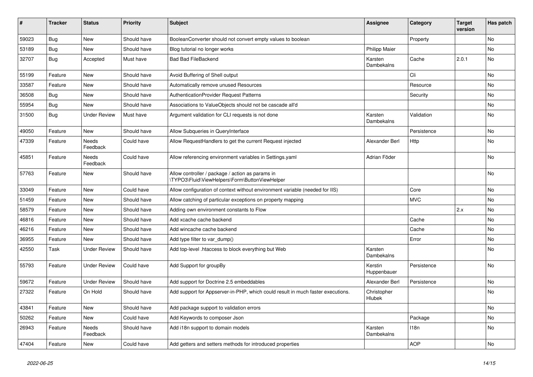| $\vert$ # | <b>Tracker</b> | <b>Status</b>       | <b>Priority</b> | <b>Subject</b>                                                                                     | <b>Assignee</b>        | Category    | <b>Target</b><br>version | Has patch |
|-----------|----------------|---------------------|-----------------|----------------------------------------------------------------------------------------------------|------------------------|-------------|--------------------------|-----------|
| 59023     | Bug            | <b>New</b>          | Should have     | BooleanConverter should not convert empty values to boolean                                        |                        | Property    |                          | <b>No</b> |
| 53189     | <b>Bug</b>     | <b>New</b>          | Should have     | Blog tutorial no longer works                                                                      | <b>Philipp Maier</b>   |             |                          | <b>No</b> |
| 32707     | <b>Bug</b>     | Accepted            | Must have       | <b>Bad Bad FileBackend</b>                                                                         | Karsten<br>Dambekalns  | Cache       | 2.0.1                    | No        |
| 55199     | Feature        | <b>New</b>          | Should have     | Avoid Buffering of Shell output                                                                    |                        | Cli         |                          | <b>No</b> |
| 33587     | Feature        | <b>New</b>          | Should have     | Automatically remove unused Resources                                                              |                        | Resource    |                          | <b>No</b> |
| 36508     | Bug            | <b>New</b>          | Should have     | AuthenticationProvider Request Patterns                                                            |                        | Security    |                          | <b>No</b> |
| 55954     | <b>Bug</b>     | <b>New</b>          | Should have     | Associations to ValueObjects should not be cascade all'd                                           |                        |             |                          | <b>No</b> |
| 31500     | Bug            | <b>Under Review</b> | Must have       | Argument validation for CLI requests is not done                                                   | Karsten<br>Dambekalns  | Validation  |                          | <b>No</b> |
| 49050     | Feature        | New                 | Should have     | Allow Subqueries in QueryInterface                                                                 |                        | Persistence |                          | No        |
| 47339     | Feature        | Needs<br>Feedback   | Could have      | Allow RequestHandlers to get the current Request injected                                          | Alexander Berl         | Http        |                          | No        |
| 45851     | Feature        | Needs<br>Feedback   | Could have      | Allow referencing environment variables in Settings.yaml                                           | Adrian Föder           |             |                          | No        |
| 57763     | Feature        | <b>New</b>          | Should have     | Allow controller / package / action as params in<br>\TYPO3\Fluid\ViewHelpers\Form\ButtonViewHelper |                        |             |                          | <b>No</b> |
| 33049     | Feature        | New                 | Could have      | Allow configuration of context without environment variable (needed for IIS)                       |                        | Core        |                          | No        |
| 51459     | Feature        | New                 | Should have     | Allow catching of particular exceptions on property mapping                                        |                        | <b>MVC</b>  |                          | No        |
| 58579     | Feature        | New                 | Should have     | Adding own environment constants to Flow                                                           |                        |             | 2.x                      | No        |
| 46816     | Feature        | <b>New</b>          | Should have     | Add xcache cache backend                                                                           |                        | Cache       |                          | No        |
| 46216     | Feature        | New                 | Should have     | Add wincache cache backend                                                                         |                        | Cache       |                          | No        |
| 36955     | Feature        | New                 | Should have     | Add type filter to var_dump()                                                                      |                        | Error       |                          | <b>No</b> |
| 42550     | Task           | <b>Under Review</b> | Should have     | Add top-level .htaccess to block everything but Web                                                | Karsten<br>Dambekalns  |             |                          | <b>No</b> |
| 55793     | Feature        | <b>Under Review</b> | Could have      | Add Support for groupBy                                                                            | Kerstin<br>Huppenbauer | Persistence |                          | <b>No</b> |
| 59672     | Feature        | <b>Under Review</b> | Should have     | Add support for Doctrine 2.5 embeddables                                                           | Alexander Berl         | Persistence |                          | No        |
| 27322     | Feature        | On Hold             | Should have     | Add support for Appserver-in-PHP, which could result in much faster executions.                    | Christopher<br>Hlubek  |             |                          | No        |
| 43841     | Feature        | <b>New</b>          | Should have     | Add package support to validation errors                                                           |                        |             |                          | No        |
| 50262     | Feature        | New                 | Could have      | Add Keywords to composer Json                                                                      |                        | Package     |                          | <b>No</b> |
| 26943     | Feature        | Needs<br>Feedback   | Should have     | Add i18n support to domain models                                                                  | Karsten<br>Dambekalns  | 118n        |                          | <b>No</b> |
| 47404     | Feature        | <b>New</b>          | Could have      | Add getters and setters methods for introduced properties                                          |                        | <b>AOP</b>  |                          | No        |